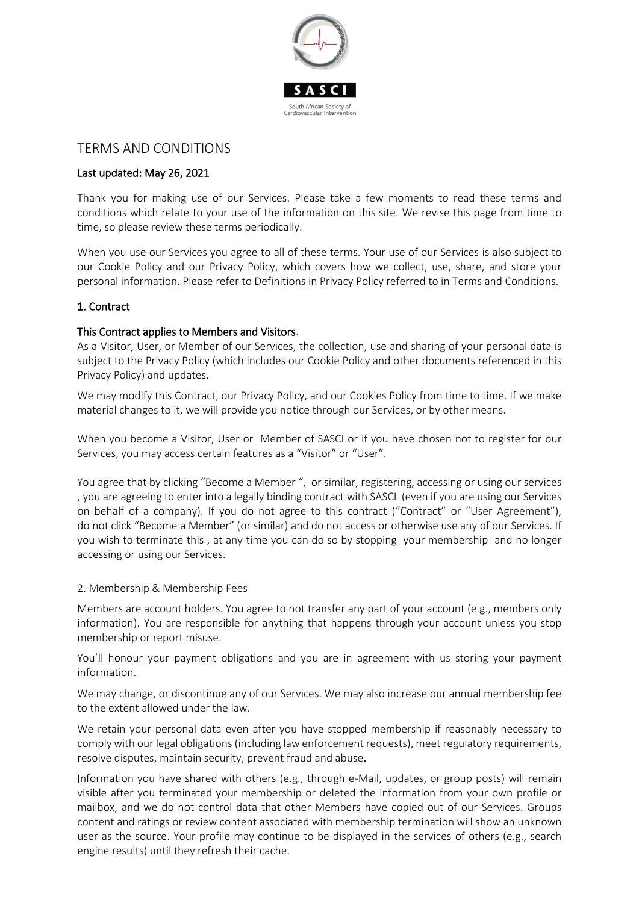

# TERMS AND CONDITIONS

#### Last updated: May 26, 2021

Thank you for making use of our Services. Please take a few moments to read these terms and conditions which relate to your use of the information on this site. We revise this page from time to time, so please review these terms periodically.

When you use our Services you agree to all of these terms. Your use of our Services is also subject to our Cookie Policy and our Privacy Policy, which covers how we collect, use, share, and store your personal information. Please refer to Definitions in Privacy Policy referred to in Terms and Conditions.

#### 1. Contract

#### This Contract applies to Members and Visitors.

As a Visitor, User, or Member of our Services, the collection, use and sharing of your personal data is subject to the Privacy Policy (which includes our Cookie Policy and other documents referenced in this Privacy Policy) and updates.

We may modify this Contract, our Privacy Policy, and our Cookies Policy from time to time. If we make material changes to it, we will provide you notice through our Services, or by other means.

When you become a Visitor, User or Member of SASCI or if you have chosen not to register for our Services, you may access certain features as a "Visitor" or "User".

You agree that by clicking "Become a Member", or similar, registering, accessing or using our services , you are agreeing to enter into a legally binding contract with SASCI (even if you are using our Services on behalf of a company). If you do not agree to this contract ("Contract" or "User Agreement"), do not click "Become a Member" (or similar) and do not access or otherwise use any of our Services. If you wish to terminate this , at any time you can do so by stopping your membership and no longer accessing or using our Services.

#### 2. Membership & Membership Fees

Members are account holders. You agree to not transfer any part of your account (e.g., members only information). You are responsible for anything that happens through your account unless you stop membership or report misuse.

You'll honour your payment obligations and you are in agreement with us storing your payment information.

We may change, or discontinue any of our Services. We may also increase our annual membership fee to the extent allowed under the law.

We retain your personal data even after you have stopped membership if reasonably necessary to comply with our legal obligations (including law enforcement requests), meet regulatory requirements, resolve disputes, maintain security, prevent fraud and abuse.

Information you have shared with others (e.g., through e-Mail, updates, or group posts) will remain visible after you terminated your membership or deleted the information from your own profile or mailbox, and we do not control data that other Members have copied out of our Services. Groups content and ratings or review content associated with membership termination will show an unknown user as the source. Your profile may continue to be displayed in the services of others (e.g., search engine results) until they refresh their cache.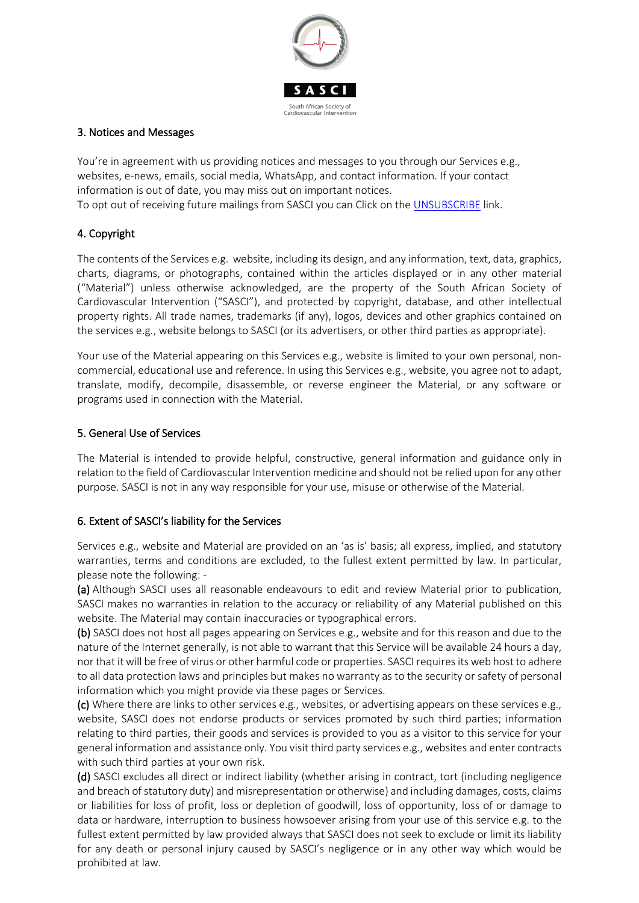

#### 3. Notices and Messages

You're in agreement with us providing notices and messages to you through our Services e.g., websites, e-news, emails, social media, WhatsApp, and contact information. If your contact information is out of date, you may miss out on important notices.

To opt out of receiving future mailings from SASCI you can Click on the [UNSUBSCRIBE](https://form.jotform.com/202862721577561) link.

## 4. Copyright

The contents of the Services e.g. website, including its design, and any information, text, data, graphics, charts, diagrams, or photographs, contained within the articles displayed or in any other material ("Material") unless otherwise acknowledged, are the property of the South African Society of Cardiovascular Intervention ("SASCI"), and protected by copyright, database, and other intellectual property rights. All trade names, trademarks (if any), logos, devices and other graphics contained on the services e.g., website belongs to SASCI (or its advertisers, or other third parties as appropriate).

Your use of the Material appearing on this Services e.g., website is limited to your own personal, noncommercial, educational use and reference. In using this Services e.g., website, you agree not to adapt, translate, modify, decompile, disassemble, or reverse engineer the Material, or any software or programs used in connection with the Material.

#### 5. General Use of Services

The Material is intended to provide helpful, constructive, general information and guidance only in relation to the field of Cardiovascular Intervention medicine and should not be relied upon for any other purpose. SASCI is not in any way responsible for your use, misuse or otherwise of the Material.

#### 6. Extent of SASCI's liability for the Services

Services e.g., website and Material are provided on an 'as is' basis; all express, implied, and statutory warranties, terms and conditions are excluded, to the fullest extent permitted by law. In particular, please note the following: -

(a) Although SASCI uses all reasonable endeavours to edit and review Material prior to publication, SASCI makes no warranties in relation to the accuracy or reliability of any Material published on this website. The Material may contain inaccuracies or typographical errors.

(b) SASCI does not host all pages appearing on Services e.g., website and for this reason and due to the nature of the Internet generally, is not able to warrant that this Service will be available 24 hours a day, nor that it will be free of virus or other harmful code or properties. SASCI requires its web host to adhere to all data protection laws and principles but makes no warranty as to the security or safety of personal information which you might provide via these pages or Services.

(c) Where there are links to other services e.g., websites, or advertising appears on these services e.g., website, SASCI does not endorse products or services promoted by such third parties; information relating to third parties, their goods and services is provided to you as a visitor to this service for your general information and assistance only. You visit third party services e.g., websites and enter contracts with such third parties at your own risk.

(d) SASCI excludes all direct or indirect liability (whether arising in contract, tort (including negligence and breach of statutory duty) and misrepresentation or otherwise) and including damages, costs, claims or liabilities for loss of profit, loss or depletion of goodwill, loss of opportunity, loss of or damage to data or hardware, interruption to business howsoever arising from your use of this service e.g. to the fullest extent permitted by law provided always that SASCI does not seek to exclude or limit its liability for any death or personal injury caused by SASCI's negligence or in any other way which would be prohibited at law.